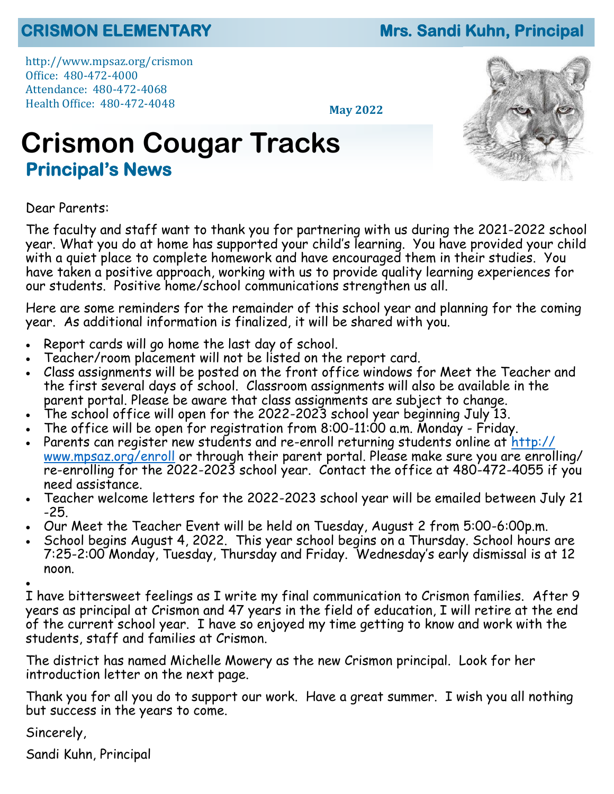#### **CRISMON ELEMENTARY Mrs. Sandi Kuhn, Principal**

http://www.mpsaz.org/crismon Office: 480-472-4000 Attendance: 480-472-4068 Health Office: 480-472-4048

**May 2022**

# **Crismon Cougar Tracks Principal's News**



Dear Parents:

The faculty and staff want to thank you for partnering with us during the 2021-2022 school year. What you do at home has supported your child's learning. You have provided your child with a quiet place to complete homework and have encouraged them in their studies. You have taken a positive approach, working with us to provide quality learning experiences for our students. Positive home/school communications strengthen us all.

Here are some reminders for the remainder of this school year and planning for the coming year. As additional information is finalized, it will be shared with you.

- Report cards will go home the last day of school.
- Teacher/room placement will not be listed on the report card.
- Class assignments will be posted on the front office windows for Meet the Teacher and the first several days of school. Classroom assignments will also be available in the parent portal. Please be aware that class assignments are subject to change.
- The school office will open for the 2022-2023 school year beginning July 13.
- The office will be open for registration from 8:00-11:00 a.m. Monday Friday.
- Parents can register new students and re-enroll returning students online at [http://](http://www.mpsaz.org/enroll) [www.mpsaz.org/enroll](http://www.mpsaz.org/enroll) or through their parent portal. Please make sure you are enrolling/ re-enrolling for the 2022-2023 school year. Contact the office at 480-472-4055 if you need assistance.
- Teacher welcome letters for the 2022-2023 school year will be emailed between July 21 -25.
- Our Meet the Teacher Event will be held on Tuesday, August 2 from 5:00-6:00p.m.
- School begins August 4, 2022. This year school begins on a Thursday. School hours are 7:25-2:00 Monday, Tuesday, Thursday and Friday. Wednesday's early dismissal is at 12 noon.

•

I have bittersweet feelings as I write my final communication to Crismon families. After 9 years as principal at Crismon and 47 years in the field of education, I will retire at the end of the current school year. I have so enjoyed my time getting to know and work with the students, staff and families at Crismon.

The district has named Michelle Mowery as the new Crismon principal. Look for her introduction letter on the next page.

Thank you for all you do to support our work. Have a great summer. I wish you all nothing but success in the years to come.

Sincerely,

Sandi Kuhn, Principal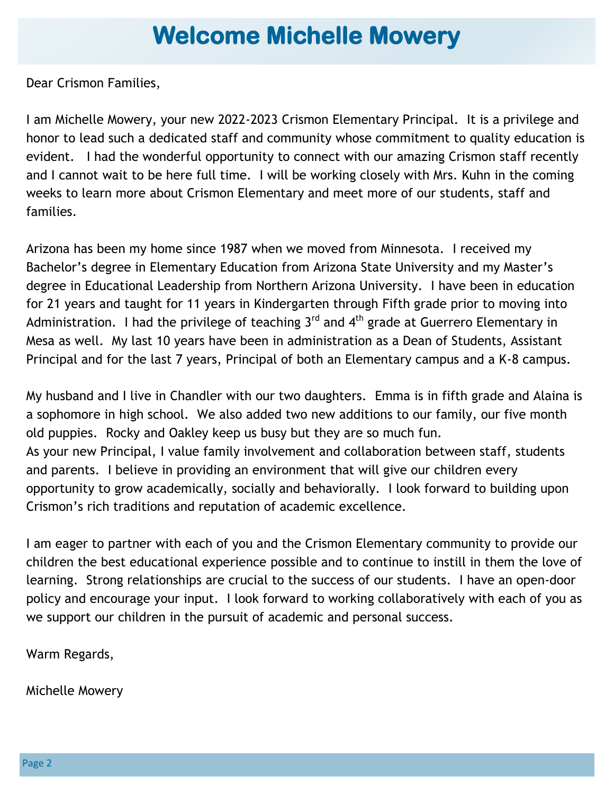## **Welcome Michelle Mowery**

Dear Crismon Families,

I am Michelle Mowery, your new 2022-2023 Crismon Elementary Principal. It is a privilege and honor to lead such a dedicated staff and community whose commitment to quality education is evident. I had the wonderful opportunity to connect with our amazing Crismon staff recently and I cannot wait to be here full time. I will be working closely with Mrs. Kuhn in the coming weeks to learn more about Crismon Elementary and meet more of our students, staff and families.

Arizona has been my home since 1987 when we moved from Minnesota. I received my Bachelor's degree in Elementary Education from Arizona State University and my Master's degree in Educational Leadership from Northern Arizona University. I have been in education for 21 years and taught for 11 years in Kindergarten through Fifth grade prior to moving into Administration. I had the privilege of teaching  $3^{rd}$  and  $4^{th}$  grade at Guerrero Elementary in Mesa as well. My last 10 years have been in administration as a Dean of Students, Assistant Principal and for the last 7 years, Principal of both an Elementary campus and a K-8 campus.

My husband and I live in Chandler with our two daughters. Emma is in fifth grade and Alaina is a sophomore in high school. We also added two new additions to our family, our five month old puppies. Rocky and Oakley keep us busy but they are so much fun. As your new Principal, I value family involvement and collaboration between staff, students and parents. I believe in providing an environment that will give our children every opportunity to grow academically, socially and behaviorally. I look forward to building upon Crismon's rich traditions and reputation of academic excellence.

I am eager to partner with each of you and the Crismon Elementary community to provide our children the best educational experience possible and to continue to instill in them the love of learning. Strong relationships are crucial to the success of our students. I have an open-door policy and encourage your input. I look forward to working collaboratively with each of you as we support our children in the pursuit of academic and personal success.

Warm Regards,

Michelle Mowery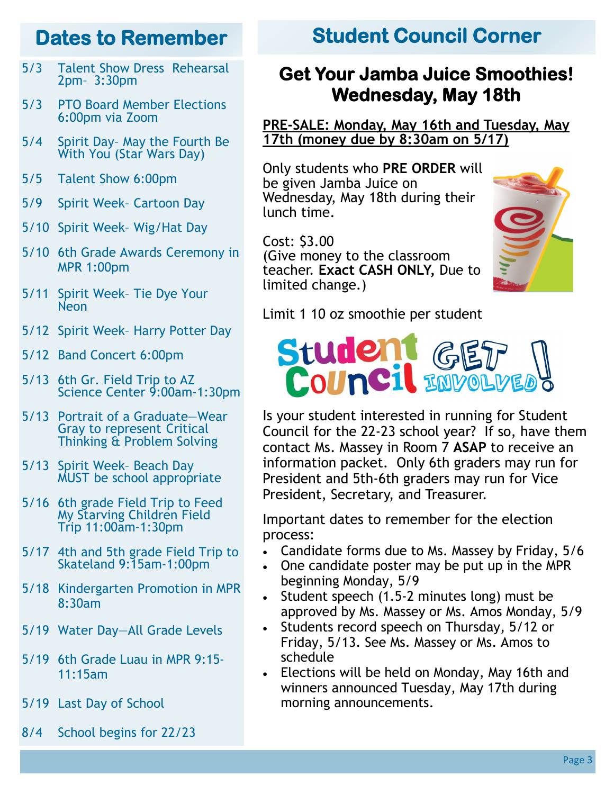- 5/3 Talent Show Dress Rehearsal 2pm– 3:30pm
- 5/3 PTO Board Member Elections 6:00pm via Zoom
- 5/4 Spirit Day– May the Fourth Be With You (Star Wars Day)
- 5/5 Talent Show 6:00pm
- 5/9 Spirit Week– Cartoon Day
- 5/10 Spirit Week– Wig/Hat Day
- 5/10 6th Grade Awards Ceremony in MPR 1:00pm
- 5/11 Spirit Week– Tie Dye Your Neon
- 5/12 Spirit Week– Harry Potter Day
- 5/12 Band Concert 6:00pm
- 5/13 6th Gr. Field Trip to AZ Science Center 9:00am-1:30pm
- 5/13 Portrait of a Graduate—Wear Gray to represent Critical Thinking & Problem Solving
- 5/13 Spirit Week– Beach Day MUST be school appropriate
- 5/16 6th grade Field Trip to Feed My Starving Children Field Trip 11:00am-1:30pm
- 5/17 4th and 5th grade Field Trip to Skateland 9:15am-1:00pm
- 5/18 Kindergarten Promotion in MPR 8:30am
- 5/19 Water Day—All Grade Levels
- 5/19 6th Grade Luau in MPR 9:15- 11:15am
- 5/19 Last Day of School
- 8/4 School begins for 22/23

#### **Dates to Remember Student Council Corner**

#### **Get Your Jamba Juice Smoothies! Wednesday, May 18th**

#### **PRE-SALE: Monday, May 16th and Tuesday, May 17th (money due by 8:30am on 5/17)**

Only students who **PRE ORDER** will be given Jamba Juice on Wednesday, May 18th during their lunch time.

Cost: \$3.00 (Give money to the classroom teacher. **Exact CASH ONLY,** Due to limited change.)



Limit 1 10 oz smoothie per student



Is your student interested in running for Student Council for the 22-23 school year? If so, have them contact Ms. Massey in Room 7 **ASAP** to receive an information packet. Only 6th graders may run for President and 5th-6th graders may run for Vice President, Secretary, and Treasurer.

Important dates to remember for the election process:

- Candidate forms due to Ms. Massey by Friday, 5/6
- One candidate poster may be put up in the MPR beginning Monday, 5/9
- Student speech (1.5-2 minutes long) must be approved by Ms. Massey or Ms. Amos Monday, 5/9
- Students record speech on Thursday, 5/12 or Friday, 5/13. See Ms. Massey or Ms. Amos to schedule
- Elections will be held on Monday, May 16th and winners announced Tuesday, May 17th during morning announcements.